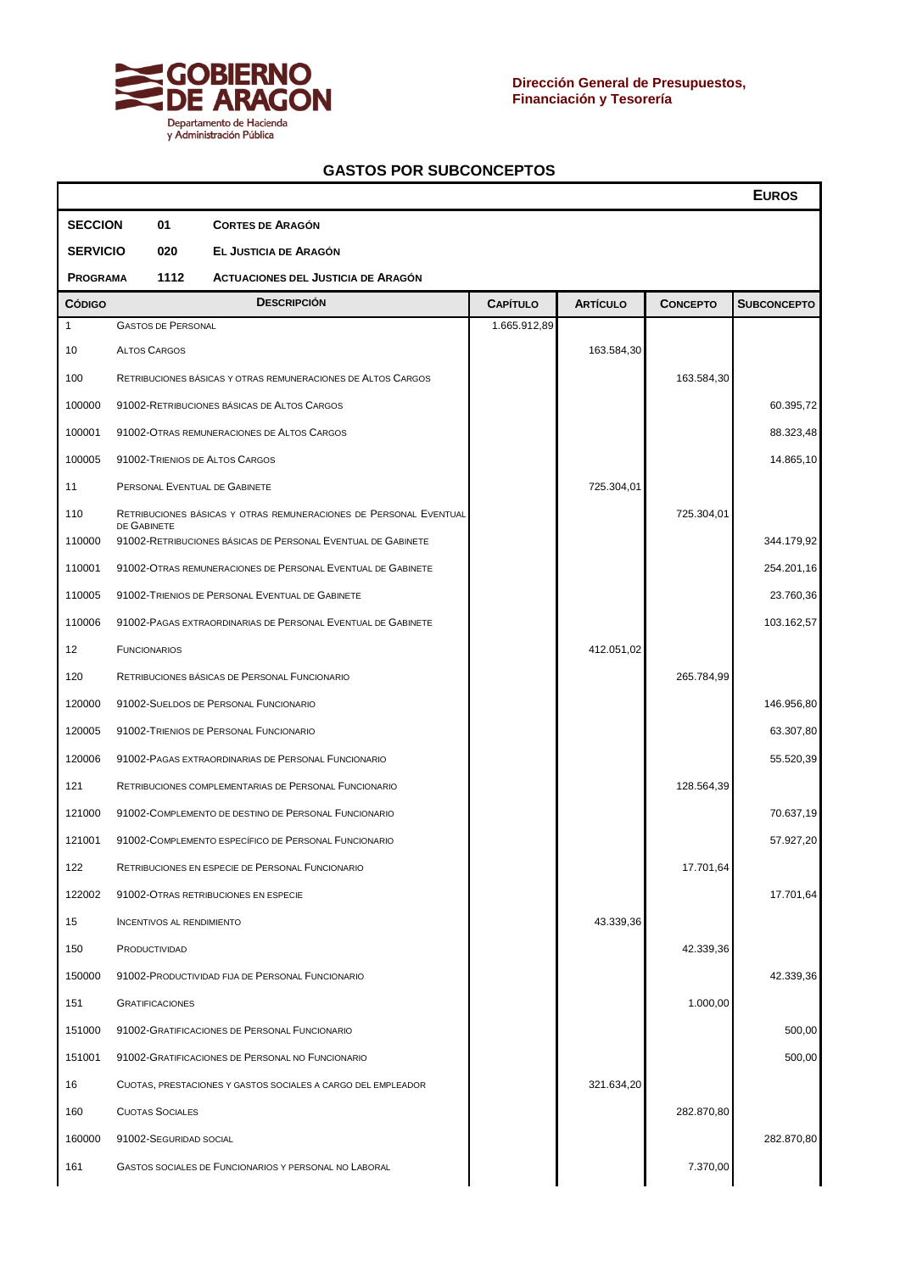

 $\blacksquare$ 

|                         |                                  |                                                                   |                 |                 |                 | <b>EUROS</b>       |
|-------------------------|----------------------------------|-------------------------------------------------------------------|-----------------|-----------------|-----------------|--------------------|
| <b>SECCION</b>          | 01                               | <b>CORTES DE ARAGÓN</b>                                           |                 |                 |                 |                    |
| <b>SERVICIO</b>         | 020                              | EL JUSTICIA DE ARAGÓN                                             |                 |                 |                 |                    |
| 1112<br><b>PROGRAMA</b> |                                  | <b>ACTUACIONES DEL JUSTICIA DE ARAGÓN</b>                         |                 |                 |                 |                    |
| <b>CÓDIGO</b>           |                                  | <b>DESCRIPCIÓN</b>                                                | <b>CAPÍTULO</b> | <b>ARTÍCULO</b> | <b>CONCEPTO</b> | <b>SUBCONCEPTO</b> |
| $\mathbf{1}$            | <b>GASTOS DE PERSONAL</b>        |                                                                   | 1.665.912,89    |                 |                 |                    |
| 10                      | <b>ALTOS CARGOS</b>              |                                                                   |                 | 163.584,30      |                 |                    |
| 100                     |                                  | RETRIBUCIONES BÁSICAS Y OTRAS REMUNERACIONES DE ALTOS CARGOS      |                 |                 | 163.584,30      |                    |
| 100000                  |                                  | 91002-RETRIBUCIONES BÁSICAS DE ALTOS CARGOS                       |                 |                 |                 | 60.395,72          |
| 100001                  |                                  | 91002-OTRAS REMUNERACIONES DE ALTOS CARGOS                        |                 |                 |                 | 88.323,48          |
| 100005                  |                                  | 91002-TRIENIOS DE ALTOS CARGOS                                    |                 |                 |                 | 14.865,10          |
| 11                      |                                  | PERSONAL EVENTUAL DE GABINETE                                     |                 | 725.304,01      |                 |                    |
| 110                     | DE GABINETE                      | RETRIBUCIONES BÁSICAS Y OTRAS REMUNERACIONES DE PERSONAL EVENTUAL |                 |                 | 725.304,01      |                    |
| 110000                  |                                  | 91002-RETRIBUCIONES BÁSICAS DE PERSONAL EVENTUAL DE GABINETE      |                 |                 |                 | 344.179,92         |
| 110001                  |                                  | 91002-OTRAS REMUNERACIONES DE PERSONAL EVENTUAL DE GABINETE       |                 |                 |                 | 254.201,16         |
| 110005                  |                                  | 91002-TRIENIOS DE PERSONAL EVENTUAL DE GABINETE                   |                 |                 |                 | 23.760,36          |
| 110006                  |                                  | 91002-PAGAS EXTRAORDINARIAS DE PERSONAL EVENTUAL DE GABINETE      |                 |                 |                 | 103.162,57         |
| 12                      | <b>FUNCIONARIOS</b>              |                                                                   |                 | 412.051,02      |                 |                    |
| 120                     |                                  | RETRIBUCIONES BÁSICAS DE PERSONAL FUNCIONARIO                     |                 |                 | 265.784,99      |                    |
| 120000                  |                                  | 91002-SUELDOS DE PERSONAL FUNCIONARIO                             |                 |                 |                 | 146.956,80         |
| 120005                  |                                  | 91002-TRIENIOS DE PERSONAL FUNCIONARIO                            |                 |                 |                 | 63.307,80          |
| 120006                  |                                  | 91002-PAGAS EXTRAORDINARIAS DE PERSONAL FUNCIONARIO               |                 |                 |                 | 55.520,39          |
| 121                     |                                  | RETRIBUCIONES COMPLEMENTARIAS DE PERSONAL FUNCIONARIO             |                 |                 | 128.564,39      |                    |
| 121000                  |                                  | 91002-COMPLEMENTO DE DESTINO DE PERSONAL FUNCIONARIO              |                 |                 |                 | 70.637,19          |
| 121001                  |                                  | 91002-COMPLEMENTO ESPECÍFICO DE PERSONAL FUNCIONARIO              |                 |                 |                 | 57.927,20          |
| 122                     |                                  | RETRIBUCIONES EN ESPECIE DE PERSONAL FUNCIONARIO                  |                 |                 | 17.701,64       |                    |
| 122002                  |                                  | 91002-OTRAS RETRIBUCIONES EN ESPECIE                              |                 |                 |                 | 17.701,64          |
| 15                      | <b>INCENTIVOS AL RENDIMIENTO</b> |                                                                   |                 | 43.339,36       |                 |                    |
| 150                     | PRODUCTIVIDAD                    |                                                                   |                 |                 | 42.339,36       |                    |
| 150000                  |                                  | 91002-PRODUCTIVIDAD FIJA DE PERSONAL FUNCIONARIO                  |                 |                 |                 | 42.339,36          |
| 151                     | <b>GRATIFICACIONES</b>           |                                                                   |                 |                 | 1.000,00        |                    |
| 151000                  |                                  | 91002-GRATIFICACIONES DE PERSONAL FUNCIONARIO                     |                 |                 |                 | 500,00             |
| 151001                  |                                  | 91002-GRATIFICACIONES DE PERSONAL NO FUNCIONARIO                  |                 |                 |                 | 500,00             |
| 16                      |                                  | CUOTAS, PRESTACIONES Y GASTOS SOCIALES A CARGO DEL EMPLEADOR      |                 | 321.634,20      |                 |                    |
| 160                     | <b>CUOTAS SOCIALES</b>           |                                                                   |                 |                 | 282.870,80      |                    |
| 160000                  | 91002-SEGURIDAD SOCIAL           |                                                                   |                 |                 |                 | 282.870,80         |
| 161                     |                                  | GASTOS SOCIALES DE FUNCIONARIOS Y PERSONAL NO LABORAL             |                 |                 | 7.370,00        |                    |
|                         |                                  |                                                                   |                 |                 |                 |                    |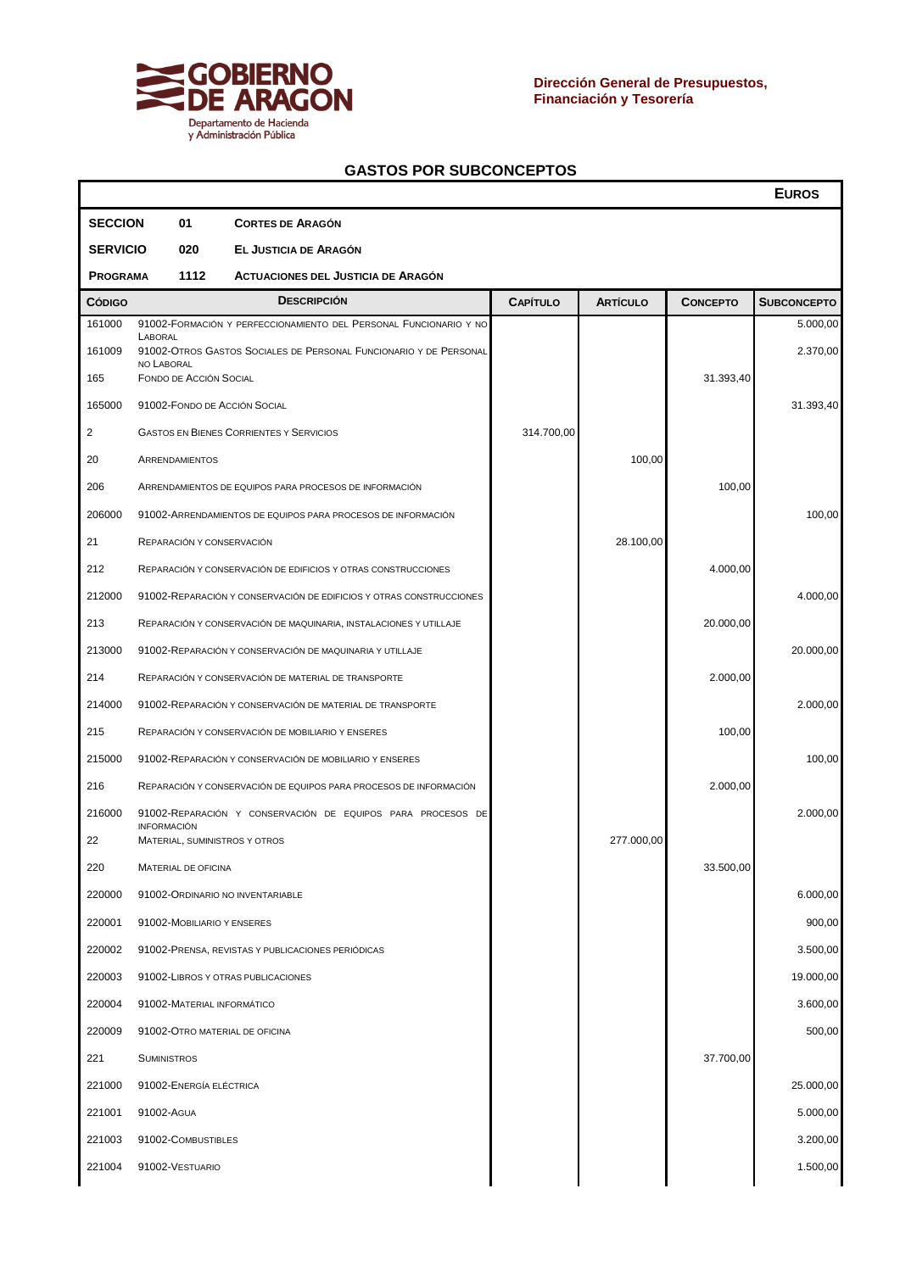

Г

|                         |                                                 |     |                                                                                                                                        |                 |                 |                 | <b>EUROS</b>         |
|-------------------------|-------------------------------------------------|-----|----------------------------------------------------------------------------------------------------------------------------------------|-----------------|-----------------|-----------------|----------------------|
| <b>SECCION</b>          |                                                 | 01  | <b>CORTES DE ARAGÓN</b>                                                                                                                |                 |                 |                 |                      |
| <b>SERVICIO</b>         |                                                 | 020 | EL JUSTICIA DE ARAGÓN                                                                                                                  |                 |                 |                 |                      |
| 1112<br><b>PROGRAMA</b> |                                                 |     | <b>ACTUACIONES DEL JUSTICIA DE ARAGÓN</b>                                                                                              |                 |                 |                 |                      |
| <b>CÓDIGO</b>           |                                                 |     | <b>DESCRIPCIÓN</b>                                                                                                                     | <b>CAPÍTULO</b> | <b>ARTÍCULO</b> | <b>CONCEPTO</b> | <b>SUBCONCEPTO</b>   |
| 161000<br>161009<br>165 | LABORAL<br>NO LABORAL<br>FONDO DE ACCIÓN SOCIAL |     | 91002-FORMACIÓN Y PERFECCIONAMIENTO DEL PERSONAL FUNCIONARIO Y NO<br>91002-OTROS GASTOS SOCIALES DE PERSONAL FUNCIONARIO Y DE PERSONAL |                 |                 | 31.393,40       | 5.000,00<br>2.370,00 |
| 165000                  |                                                 |     | 91002-FONDO DE ACCIÓN SOCIAL                                                                                                           |                 |                 |                 | 31.393,40            |
| $\overline{2}$          |                                                 |     | <b>GASTOS EN BIENES CORRIENTES Y SERVICIOS</b>                                                                                         | 314.700,00      |                 |                 |                      |
| 20                      | ARRENDAMIENTOS                                  |     |                                                                                                                                        |                 | 100,00          |                 |                      |
| 206                     |                                                 |     | ARRENDAMIENTOS DE EQUIPOS PARA PROCESOS DE INFORMACIÓN                                                                                 |                 |                 | 100,00          |                      |
| 206000                  |                                                 |     | 91002-ARRENDAMIENTOS DE EQUIPOS PARA PROCESOS DE INFORMACIÓN                                                                           |                 |                 |                 | 100,00               |
| 21                      |                                                 |     | REPARACIÓN Y CONSERVACIÓN                                                                                                              |                 | 28.100,00       |                 |                      |
| 212                     |                                                 |     |                                                                                                                                        |                 |                 | 4.000,00        |                      |
| 212000                  |                                                 |     | REPARACIÓN Y CONSERVACIÓN DE EDIFICIOS Y OTRAS CONSTRUCCIONES                                                                          |                 |                 |                 |                      |
|                         |                                                 |     | 91002-REPARACIÓN Y CONSERVACIÓN DE EDIFICIOS Y OTRAS CONSTRUCCIONES                                                                    |                 |                 |                 | 4.000,00             |
| 213                     |                                                 |     | REPARACIÓN Y CONSERVACIÓN DE MAQUINARIA, INSTALACIONES Y UTILLAJE                                                                      |                 |                 | 20.000,00       |                      |
| 213000                  |                                                 |     | 91002-REPARACIÓN Y CONSERVACIÓN DE MAQUINARIA Y UTILLAJE                                                                               |                 |                 |                 | 20.000,00            |
| 214                     |                                                 |     | REPARACIÓN Y CONSERVACIÓN DE MATERIAL DE TRANSPORTE                                                                                    |                 |                 | 2.000,00        |                      |
| 214000                  |                                                 |     | 91002-REPARACIÓN Y CONSERVACIÓN DE MATERIAL DE TRANSPORTE                                                                              |                 |                 |                 | 2.000,00             |
| 215                     |                                                 |     | REPARACIÓN Y CONSERVACIÓN DE MOBILIARIO Y ENSERES                                                                                      |                 |                 | 100,00          |                      |
| 215000                  |                                                 |     | 91002-REPARACIÓN Y CONSERVACIÓN DE MOBILIARIO Y ENSERES                                                                                |                 |                 |                 | 100,00               |
| 216                     |                                                 |     | REPARACIÓN Y CONSERVACIÓN DE EQUIPOS PARA PROCESOS DE INFORMACIÓN                                                                      |                 |                 | 2.000,00        |                      |
| 216000                  | <b>INFORMACIÓN</b>                              |     | 91002-REPARACIÓN Y CONSERVACIÓN DE EQUIPOS PARA PROCESOS DE                                                                            |                 |                 |                 | 2.000,00             |
| 22                      |                                                 |     | MATERIAL, SUMINISTROS Y OTROS                                                                                                          |                 | 277.000,00      |                 |                      |
| 220                     | MATERIAL DE OFICINA                             |     |                                                                                                                                        |                 |                 | 33.500,00       |                      |
| 220000                  |                                                 |     | 91002-ORDINARIO NO INVENTARIABLE                                                                                                       |                 |                 |                 | 6.000,00             |
| 220001                  |                                                 |     | 91002-MOBILIARIO Y ENSERES                                                                                                             |                 |                 |                 | 900,00               |
| 220002                  |                                                 |     | 91002-PRENSA, REVISTAS Y PUBLICACIONES PERIÓDICAS                                                                                      |                 |                 |                 | 3.500,00             |
| 220003                  |                                                 |     | 91002-LIBROS Y OTRAS PUBLICACIONES                                                                                                     |                 |                 |                 | 19.000,00            |
| 220004                  |                                                 |     | 91002-MATERIAL INFORMÁTICO                                                                                                             |                 |                 |                 | 3.600,00             |
| 220009                  |                                                 |     | 91002-OTRO MATERIAL DE OFICINA                                                                                                         |                 |                 |                 | 500,00               |
| 221                     | <b>SUMINISTROS</b>                              |     |                                                                                                                                        |                 |                 | 37.700,00       |                      |
| 221000                  | 91002-ENERGÍA ELÉCTRICA                         |     |                                                                                                                                        |                 |                 |                 | 25.000,00            |
| 221001                  | 91002-AGUA                                      |     |                                                                                                                                        |                 |                 |                 | 5.000,00             |
| 221003                  | 91002-COMBUSTIBLES                              |     |                                                                                                                                        |                 |                 |                 | 3.200,00             |
| 221004                  | 91002-VESTUARIO                                 |     |                                                                                                                                        |                 |                 |                 | 1.500,00             |
|                         |                                                 |     |                                                                                                                                        |                 |                 |                 |                      |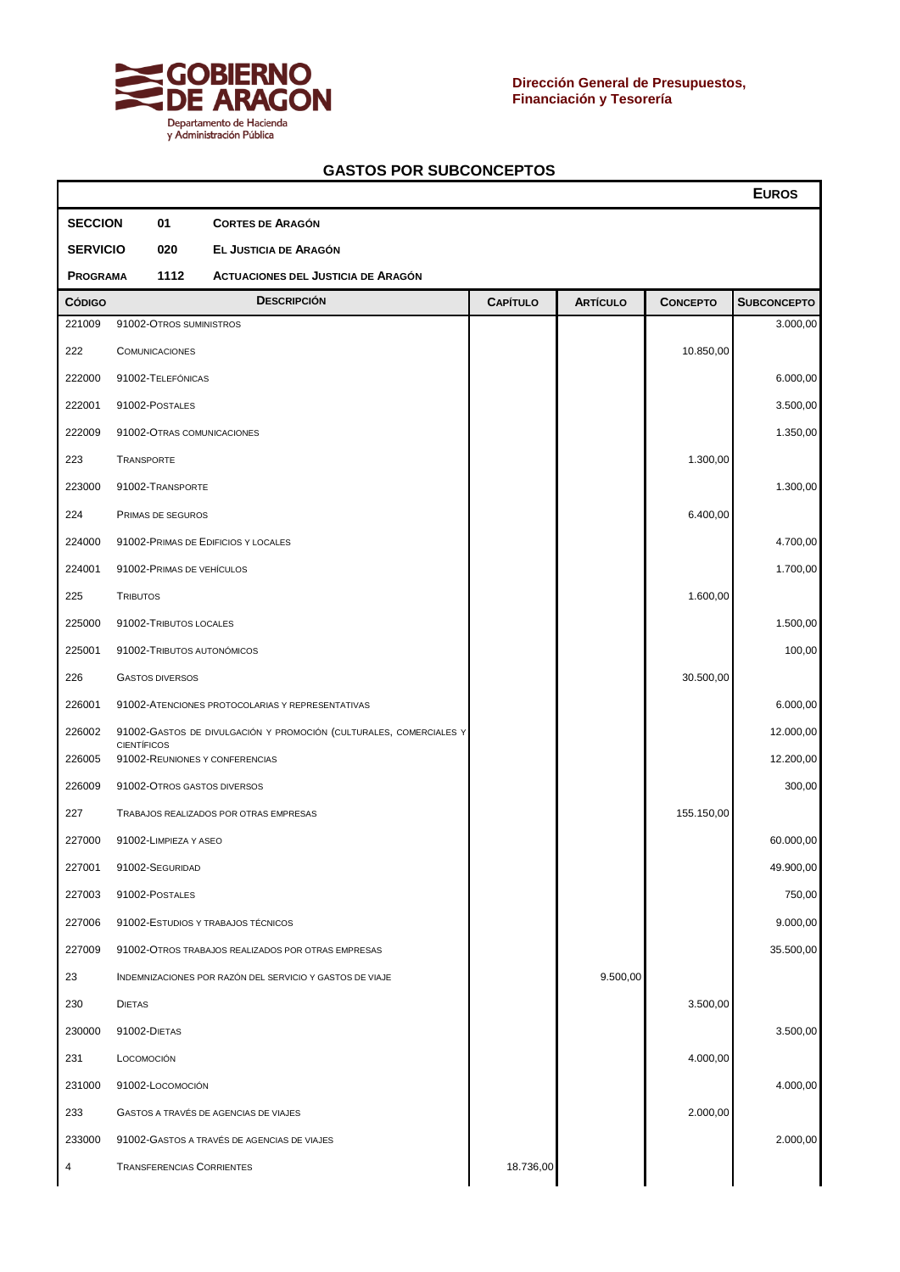

T

|                         |                                                   |  |                                                                    |                 |                 |                 | <b>EUROS</b>       |  |  |
|-------------------------|---------------------------------------------------|--|--------------------------------------------------------------------|-----------------|-----------------|-----------------|--------------------|--|--|
| <b>SECCION</b>          | 01                                                |  | <b>CORTES DE ARAGÓN</b>                                            |                 |                 |                 |                    |  |  |
| <b>SERVICIO</b>         | 020                                               |  | EL JUSTICIA DE ARAGÓN                                              |                 |                 |                 |                    |  |  |
| 1112<br><b>PROGRAMA</b> |                                                   |  | <b>ACTUACIONES DEL JUSTICIA DE ARAGÓN</b>                          |                 |                 |                 |                    |  |  |
| <b>CÓDIGO</b>           |                                                   |  | <b>DESCRIPCIÓN</b>                                                 | <b>CAPÍTULO</b> | <b>ARTÍCULO</b> | <b>CONCEPTO</b> | <b>SUBCONCEPTO</b> |  |  |
| 221009                  | 91002-OTROS SUMINISTROS                           |  |                                                                    |                 |                 |                 | 3.000,00           |  |  |
| 222                     | <b>COMUNICACIONES</b>                             |  |                                                                    |                 |                 | 10.850,00       |                    |  |  |
| 222000                  | 91002-TELEFÓNICAS                                 |  |                                                                    |                 |                 |                 | 6.000,00           |  |  |
| 222001                  | 91002-POSTALES                                    |  |                                                                    |                 |                 |                 | 3.500,00           |  |  |
| 222009                  | 91002-OTRAS COMUNICACIONES                        |  |                                                                    |                 |                 |                 | 1.350,00           |  |  |
| 223                     | <b>TRANSPORTE</b>                                 |  |                                                                    |                 |                 | 1.300,00        |                    |  |  |
| 223000                  | 91002-TRANSPORTE                                  |  |                                                                    |                 |                 |                 | 1.300,00           |  |  |
| 224                     | PRIMAS DE SEGUROS                                 |  |                                                                    |                 |                 | 6.400,00        |                    |  |  |
| 224000                  |                                                   |  | 91002-PRIMAS DE EDIFICIOS Y LOCALES                                |                 |                 |                 | 4.700,00           |  |  |
| 224001                  | 91002-PRIMAS DE VEHÍCULOS                         |  |                                                                    |                 |                 |                 | 1.700,00           |  |  |
| 225                     | <b>TRIBUTOS</b>                                   |  |                                                                    |                 |                 | 1.600,00        |                    |  |  |
| 225000                  | 91002-TRIBUTOS LOCALES                            |  |                                                                    |                 |                 |                 | 1.500,00           |  |  |
| 225001                  | 91002-TRIBUTOS AUTONÓMICOS                        |  |                                                                    |                 |                 |                 | 100,00             |  |  |
| 226                     | <b>GASTOS DIVERSOS</b>                            |  |                                                                    |                 |                 | 30.500,00       |                    |  |  |
| 226001                  |                                                   |  | 91002-ATENCIONES PROTOCOLARIAS Y REPRESENTATIVAS                   |                 |                 |                 | 6.000,00           |  |  |
| 226002                  | <b>CIENTÍFICOS</b>                                |  | 91002-GASTOS DE DIVULGACIÓN Y PROMOCIÓN (CULTURALES, COMERCIALES Y |                 |                 |                 | 12.000,00          |  |  |
| 226005                  |                                                   |  | 91002-REUNIONES Y CONFERENCIAS                                     |                 |                 |                 | 12.200,00          |  |  |
| 226009                  | 91002-OTROS GASTOS DIVERSOS                       |  |                                                                    |                 |                 |                 | 300,00             |  |  |
| 227                     |                                                   |  | TRABAJOS REALIZADOS POR OTRAS EMPRESAS                             |                 |                 | 155.150,00      |                    |  |  |
| 227000                  | 91002-LIMPIEZA Y ASEO                             |  |                                                                    |                 |                 |                 | 60.000,00          |  |  |
|                         | 227001 91002-SEGURIDAD                            |  |                                                                    |                 |                 |                 | 49.900,00          |  |  |
| 227003                  | 91002-POSTALES                                    |  |                                                                    |                 |                 |                 | 750,00             |  |  |
| 227006                  |                                                   |  | 91002-ESTUDIOS Y TRABAJOS TÉCNICOS                                 |                 |                 |                 | 9.000,00           |  |  |
| 227009                  |                                                   |  | 91002-OTROS TRABAJOS REALIZADOS POR OTRAS EMPRESAS                 |                 |                 |                 | 35.500,00          |  |  |
| 23                      |                                                   |  | INDEMNIZACIONES POR RAZÓN DEL SERVICIO Y GASTOS DE VIAJE           |                 | 9.500,00        |                 |                    |  |  |
| 230                     | <b>DIETAS</b>                                     |  |                                                                    |                 |                 | 3.500,00        |                    |  |  |
| 230000                  | 91002-DIETAS                                      |  |                                                                    |                 |                 |                 | 3.500,00           |  |  |
| 231                     | LOCOMOCIÓN                                        |  |                                                                    |                 |                 | 4.000,00        |                    |  |  |
| 231000                  | 91002-LOCOMOCIÓN                                  |  |                                                                    |                 |                 |                 | 4.000,00           |  |  |
| 233                     | 2.000,00<br>GASTOS A TRAVÉS DE AGENCIAS DE VIAJES |  |                                                                    |                 |                 |                 |                    |  |  |
| 233000                  |                                                   |  | 91002-GASTOS A TRAVÉS DE AGENCIAS DE VIAJES                        |                 |                 |                 | 2.000,00           |  |  |
| 4                       | <b>TRANSFERENCIAS CORRIENTES</b>                  |  |                                                                    | 18.736,00       |                 |                 |                    |  |  |
|                         |                                                   |  |                                                                    |                 |                 |                 |                    |  |  |